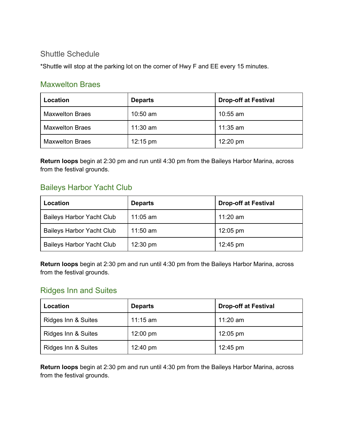#### Shuttle Schedule

\*Shuttle will stop at the parking lot on the corner of Hwy F and EE every 15 minutes.

### Maxwelton Braes

| Location               | <b>Departs</b>     | <b>Drop-off at Festival</b> |
|------------------------|--------------------|-----------------------------|
| <b>Maxwelton Braes</b> | $10:50$ am         | $10:55$ am                  |
| <b>Maxwelton Braes</b> | $11:30$ am         | $11:35$ am                  |
| <b>Maxwelton Braes</b> | $12:15 \text{ pm}$ | $12:20 \text{ pm}$          |

**Return loops** begin at 2:30 pm and run until 4:30 pm from the Baileys Harbor Marina, across from the festival grounds.

## Baileys Harbor Yacht Club

| Location                         | <b>Departs</b>     | <b>Drop-off at Festival</b> |
|----------------------------------|--------------------|-----------------------------|
| <b>Baileys Harbor Yacht Club</b> | $11:05$ am         | $11:20$ am                  |
| <b>Baileys Harbor Yacht Club</b> | $11:50$ am         | $12:05 \text{ pm}$          |
| <b>Baileys Harbor Yacht Club</b> | $12:30 \text{ pm}$ | $12:45 \text{ pm}$          |

**Return loops** begin at 2:30 pm and run until 4:30 pm from the Baileys Harbor Marina, across from the festival grounds.

### Ridges Inn and Suites

| Location            | <b>Departs</b>     | <b>Drop-off at Festival</b> |
|---------------------|--------------------|-----------------------------|
| Ridges Inn & Suites | $11:15$ am         | 11:20 am                    |
| Ridges Inn & Suites | $12:00 \text{ pm}$ | $12:05 \text{ pm}$          |
| Ridges Inn & Suites | $12:40 \text{ pm}$ | $12:45 \text{ pm}$          |

**Return loops** begin at 2:30 pm and run until 4:30 pm from the Baileys Harbor Marina, across from the festival grounds.